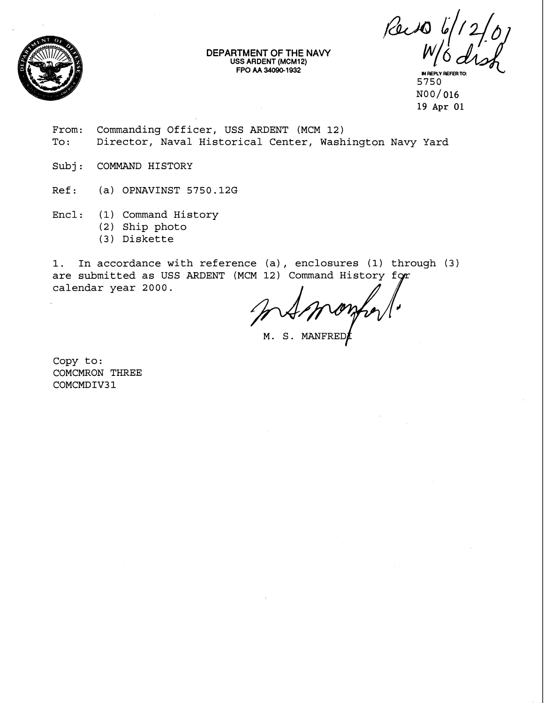

**DEPARTMENT OF THE NAVY USS ARDENT (MCM12)** 

Fac 10 6/12/0<br>W/6 dish

5750 N00/ **016 19** Apr **01** 

From: Commanding Officer, USS ARDENT (MCM 12)<br>To: Director, Naval Historical Center, Wash Director, Naval Historical Center, Washington Navy Yard

Subj: COMMAND HISTORY

Ref: (a) OPNAVINST 5750.12G

Encl: (1) Command History

- (2) Ship photo
- (3) Diskette

1. In accordance with reference (a) , enclosures (1) through (3) are submitted as USS ARDENT (MCM 12) Command History for calendar year 2000.

com

M. S. MANFRED

Copy to: COMCMRON THREE COMCMDIV31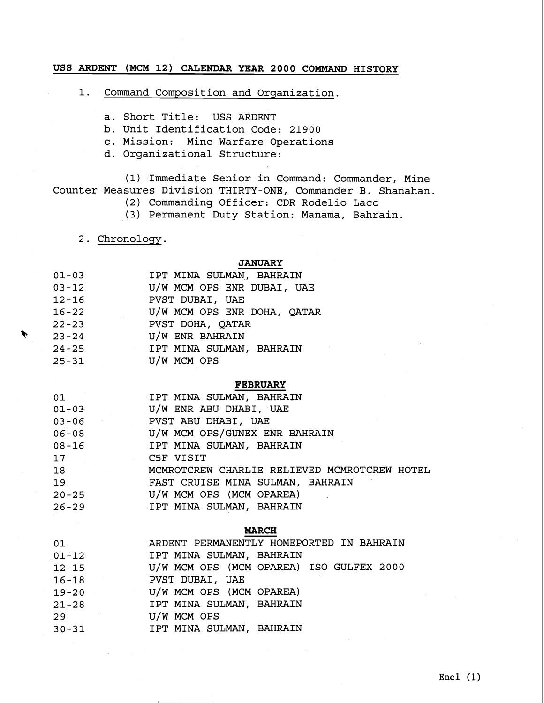## **USS ARDENT (MCM 12) CALENDAR YEAR 2000 COMMAND HISTORY**

1. Command Composition and Organization.

- a. Short Title: USS ARDENT
- b. Unit Identification Code: 21900
- c. Mission: Mine Warfare Operations
- d. Organizational Structure:

(1) Immediate Senior in Command: Commander, Mine Counter Measures Division THIRTY-ONE, Commander B. Shanahan.

- (2) Commanding Officer: CDR Rodelio Laco
- (3) Permanent Duty Station: Manama, Bahrain.
- 2. Chronology.

## **JANUARY**

| $01 - 03$ | IPT MINA SULMAN, BAHRAIN    |
|-----------|-----------------------------|
| $03 - 12$ | U/W MCM OPS ENR DUBAI, UAE  |
| $12 - 16$ | PVST DUBAI, UAE             |
| $16 - 22$ | U/W MCM OPS ENR DOHA, QATAR |
| $22 - 23$ | PVST DOHA, QATAR            |
| $23 - 24$ | U/W ENR BAHRAIN             |
| $24 - 25$ | IPT MINA SULMAN, BAHRAIN    |
| $25 - 31$ | U/W MCM OPS                 |

### **FEBRUARY**

| 01        | IPT MINA SULMAN, BAHRAIN                     |
|-----------|----------------------------------------------|
| $01 - 03$ | U/W ENR ABU DHABI, UAE                       |
| $03 - 06$ | PVST ABU DHABI, UAE                          |
| $06 - 08$ | U/W MCM OPS/GUNEX ENR BAHRAIN                |
| 08-16     | IPT MINA SULMAN, BAHRAIN                     |
| 17        | C5F VISIT                                    |
| 18        | MCMROTCREW CHARLIE RELIEVED MCMROTCREW HOTEL |
| 19        | FAST CRUISE MINA SULMAN, BAHRAIN             |
| $20 - 25$ | U/W MCM OPS (MCM OPAREA)                     |
| $26 - 29$ | IPT MINA SULMAN, BAHRAIN                     |

#### **MARCH**

| 01        | ARDENT PERMANENTLY HOMEPORTED IN BAHRAIN |
|-----------|------------------------------------------|
| $01 - 12$ | IPT MINA SULMAN, BAHRAIN                 |
| $12 - 15$ | U/W MCM OPS (MCM OPAREA) ISO GULFEX 2000 |
| $16 - 18$ | <b>EXAMPLE PUST DUBAI, UAE</b>           |
|           | 19-20 U/W MCM OPS (MCM OPAREA)           |
| $21 - 28$ | IPT MINA SULMAN, BAHRAIN                 |
| 29        | U/W MCM OPS                              |
| $30 - 31$ | IPT MINA SULMAN, BAHRAIN                 |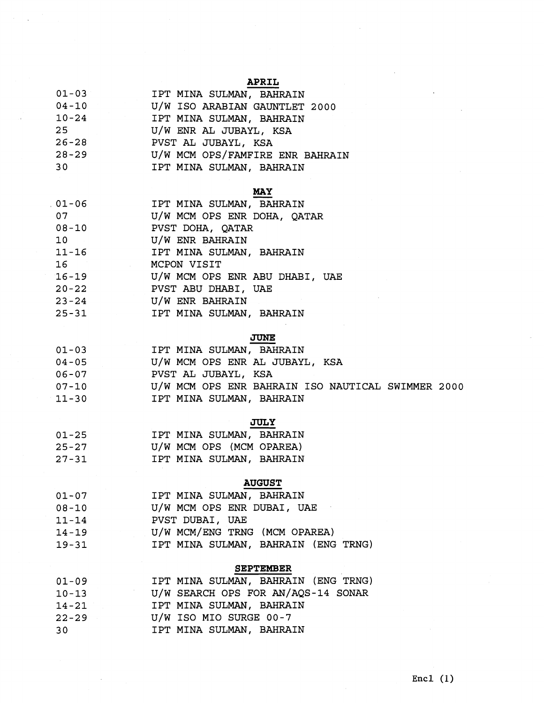# **APRIL**

| $04 - 10$<br>U/W ISO ARABIAN GAUNTLET 2000<br>$10 - 24$<br>IPT MINA SULMAN, BAHRAIN<br>U/W ENR AL JUBAYL, KSA<br>25 <sub>1</sub><br>$26 - 28$<br>PVST AL JUBAYL, KSA<br>$28 - 29$<br>30<br>IPT MINA SULMAN, BAHRAIN<br><b>MAY</b><br>$01 - 06$<br>IPT MINA SULMAN, BAHRAIN | $01 - 03$ | IPT MINA SULMAN, BAHRAIN        |
|----------------------------------------------------------------------------------------------------------------------------------------------------------------------------------------------------------------------------------------------------------------------------|-----------|---------------------------------|
|                                                                                                                                                                                                                                                                            |           |                                 |
|                                                                                                                                                                                                                                                                            |           |                                 |
|                                                                                                                                                                                                                                                                            |           |                                 |
|                                                                                                                                                                                                                                                                            |           |                                 |
|                                                                                                                                                                                                                                                                            |           | U/W MCM OPS/FAMFIRE ENR BAHRAIN |
|                                                                                                                                                                                                                                                                            |           |                                 |
|                                                                                                                                                                                                                                                                            |           |                                 |
|                                                                                                                                                                                                                                                                            |           |                                 |

| $01 - 06$                      | IPT MINA SULMAN, BAHRAIN       |
|--------------------------------|--------------------------------|
| 07                             | U/W MCM OPS ENR DOHA, QATAR    |
| $08 - 10$                      | PVST DOHA, QATAR               |
| 10                             | U/W ENR BAHRAIN                |
| $11 - 16$                      | IPT MINA SULMAN, BAHRAIN       |
| 16<br><b>Contract Contract</b> | MCPON VISIT                    |
| $16 - 19$                      | U/W MCM OPS ENR ABU DHABI, UAE |
| $20 - 22$                      | PVST ABU DHABI, UAE            |
| $23 - 24$                      | U/W ENR BAHRAIN                |
| $25 - 31$                      | IPT MINA SULMAN, BAHRAIN       |

## **JUNE**

 $\ddot{\phantom{a}}$ 

| $01 - 03$ | IPT MINA SULMAN, BAHRAIN                          |
|-----------|---------------------------------------------------|
| $04 - 05$ | U/W MCM OPS ENR AL JUBAYL, KSA                    |
| $06 - 07$ | PVST AL JUBAYL, KSA                               |
| $07 - 10$ | U/W MCM OPS ENR BAHRAIN ISO NAUTICAL SWIMMER 2000 |
| $11 - 30$ | IPT MINA SULMAN, BAHRAIN                          |
|           | <b>JULY</b>                                       |
| $01 - 25$ | IPT MINA SULMAN, BAHRAIN                          |
| 25.27     | \ היהם הרו/ היהואו יהרא היו/זו                    |

| $01 - 25$ | IPT MINA SULMAN, BAHRAIN |  |
|-----------|--------------------------|--|
| $25 - 27$ | U/W MCM OPS (MCM OPAREA) |  |
| $27 - 31$ | IPT MINA SULMAN, BAHRAIN |  |

# **AUGUST**

| $01 - 07$ | IPT MINA SULMAN, BAHRAIN            |
|-----------|-------------------------------------|
| $08 - 10$ | U/W MCM OPS ENR DUBAI, UAE          |
| $11 - 14$ | PVST DUBAI, UAE                     |
| $14 - 19$ | U/W MCM/ENG TRNG (MCM OPAREA)       |
| $19 - 31$ | IPT MINA SULMAN, BAHRAIN (ENG TRNG) |

## **SEPTEMBER**

| $01 - 09$ | IPT MINA SULMAN, BAHRAIN (ENG TRNG) |
|-----------|-------------------------------------|
| $10 - 13$ | U/W SEARCH OPS FOR AN/AQS-14 SONAR  |
| $14 - 21$ | IPT MINA SULMAN, BAHRAIN            |
| $22 - 29$ | U/W ISO MIO SURGE 00-7              |
| 30        | IPT MINA SULMAN, BAHRAIN            |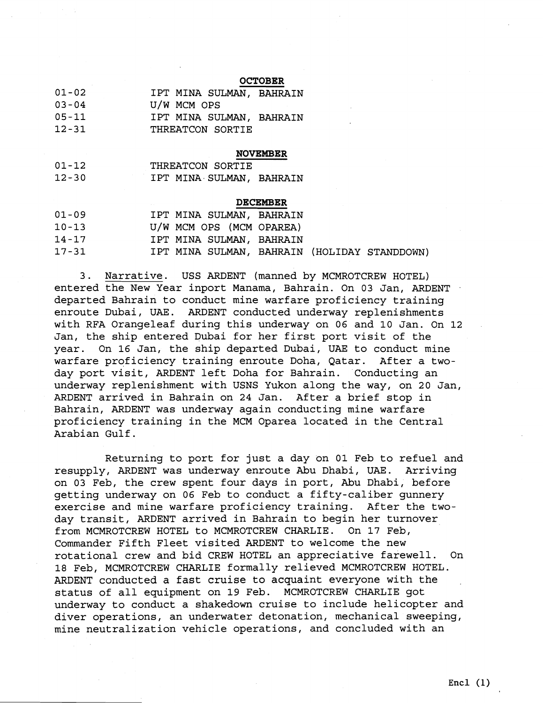## **OCTOBER**

| $01 - 02$ | IPT MINA SULMAN, BAHRAIN |  |
|-----------|--------------------------|--|
| $03 - 04$ | U/W MCM OPS              |  |
| $05 - 11$ | IPT MINA SULMAN, BAHRAIN |  |
| $12 - 31$ | THREATCON SORTIE         |  |

#### **NOVEMBER**

| $01 - 12$ | THREATCON SORTIE         |
|-----------|--------------------------|
| $12 - 30$ | IPT MINA SULMAN, BAHRAIN |

#### **DECEMBER**

| $01 - 09$ | IPT MINA SULMAN, BAHRAIN                     |  |  |
|-----------|----------------------------------------------|--|--|
| $10 - 13$ | U/W MCM OPS (MCM OPAREA)                     |  |  |
| $14 - 17$ | IPT MINA SULMAN, BAHRAIN                     |  |  |
| $17 - 31$ | IPT MINA SULMAN, BAHRAIN (HOLIDAY STANDDOWN) |  |  |

3. Narrative. USS ARDENT (manned by MCMROTCREW HOTEL) entered the New Year inport Manama, Bahrain. On 03 Jan, ARDENT departed Bahrain to conduct mine warfare proficiency training enroute Dubai, UAE. ARDENT conducted underway replenishments with RFA Orangeleaf during this underway on 06 and 10 Jan. On 12 Jan, the ship entered Dubai for her first port visit of the year. On 16 Jan, the ship departed Dubai, UAE to conduct mine warfare proficiency training enroute Doha, Qatar. After a twoday port visit, ARDENT left Doha for Bahrain. Conducting an underway replenishment with USNS Yukon along the way, on 20 Jan, ARDENT arrived in Bahrain on 24 Jan. After a brief stop in Bahrain, ARDENT was underway again conducting mine warfare proficiency training in the MCM Oparea located in the Central Arabian Gulf.

Returning to port for just a day on 01 Feb to refuel and resupply, ARDENT was underway enroute Abu Dhabi, UAE. Arriving on 03 Feb, the crew spent four days in port, Abu Dhabi, before getting underway on 06 Feb to conduct a fifty-caliber gunnery exercise and mine warfare proficiency training. After the twoday transit, ARDENT arrived in Bahrain to begin her turnover from MCMROTCREW HOTEL to MCMROTCREW CHARLIE. On 17 Feb, Commander Fifth Fleet visited ARDENT to welcome the new rotational crew and bid CREW HOTEL an appreciative farewell. On 18 Feb, MCMROTCREW CHARLIE formally relieved MCMROTCREW HOTEL. ARDENT conducted a fast cruise to acquaint everyone with the status of all equipment on 19 Feb. MCMROTCREW CHARLIE got underway to conduct a shakedown cruise to include helicopter and diver operations, an underwater detonation, mechanical sweeping, mine neutralization vehicle operations, and concluded with an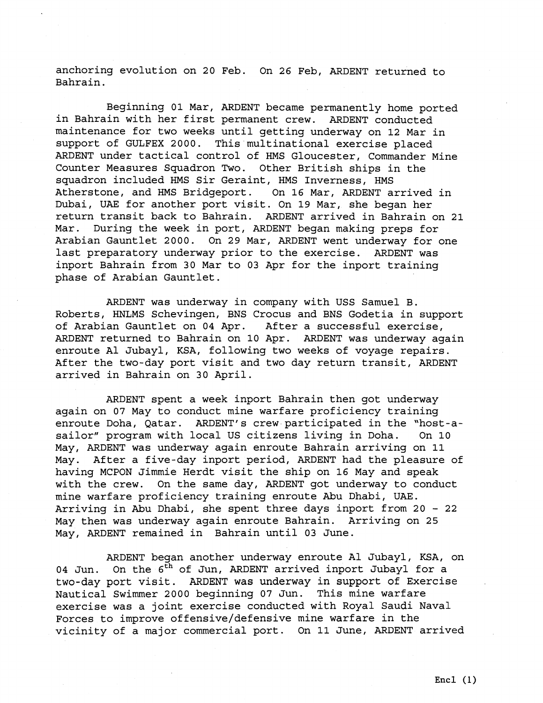anchoring evolution on 20 Feb. On 26 Feb, ARDENT returned to Bahrain.

Beginning 01 Mar, ARDENT became permanently home ported in Bahrain with her first permanent crew. ARDENT conducted maintenance for two weeks until getting underway on 12 Mar in support of GULFEX 2000. This multinational exercise placed ARDENT under tactical control of HMS Gloucester, Commander Mine Counter Measures Squadron Two. Other British ships in the squadron included HMS Sir Geraint, HMS Inverness, HMS Atherstone, and HMS Bridgeport. On 16 Mar, ARDENT arrived in Dubai, UAE for another port visit. On 19 Mar, she began her return transit back to Bahrain. ARDENT arrived in Bahrain on 21 Mar. During the week in port, ARDENT began making preps for Arabian Gauntlet 2000. On 29 Mar, ARDENT went underway for one last preparatory underway prior to the exercise. ARDENT was inport Bahrain from 30 Mar to 03 Apr for the inport training phase of Arabian Gauntlet.

ARDENT was underway in company with USS Samuel B. Roberts, HNLMS Schevingen, BNS Crocus and BNS Godetia in support of Arabian Gauntlet on 04 Apr. After a successful exercise, ARDENT returned to Bahrain on 10 Apr. ARDENT was underway again enroute A1 Jubayl, KSA, following two weeks of voyage repairs. After the two-day port visit and two day return transit, ARDENT arrived in Bahrain on 30 April.

ARDENT spent a week inport Bahrain then got underway again on 07 May to conduct mine warfare proficiency training enroute Doha, Qatar. ARDENT'S crew participated in the "host-asailor" program with local US citizens living in Doha. On 10 May, ARDENT was underway again enroute Bahrain arriving on 11 May. After a five-day inport period, ARDENT had the pleasure of having MCPON Jimmie Herdt visit the ship on 16 May and speak with the crew. On the same day, ARDENT got underway to conduct mine warfare proficiency training enroute Abu Dhabi, UAE. Arriving in Abu Dhabi, she spent three days inport from 20 - <sup>22</sup> May then was underway again enroute Bahrain. Arriving on 25 May, ARDENT remained in Bahrain until 03 June.

ARDENT began another underway enroute A1 Jubayl, KSA, on 04 Jun. On the 6<sup>th</sup> of Jun, ARDENT arrived inport Jubayl for a two-day port visit. ARDENT was underway in support of Exercise Nautical Swimmer 2000 beginning 07 Jun. This mine warfare exercise was a joint exercise conducted with Royal Saudi Naval Forces to improve offensive/defensive mine warfare in the vicinity of a major commercial port. On 11 June, ARDENT arrived